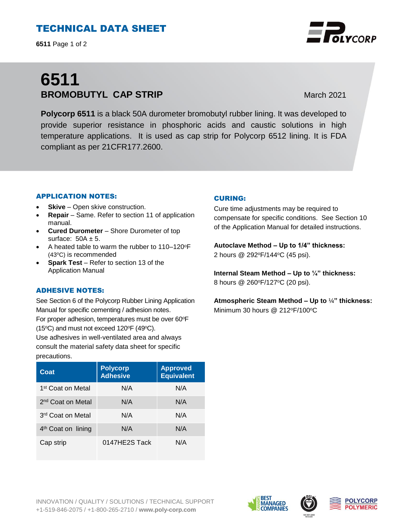# TECHNICAL DATA SHEET

**6511** Page 1 of 2

# **6511 BROMOBUTYL CAP STRIP** March 2021

**Polycorp 6511** is a black 50A durometer bromobutyl rubber lining. It was developed to provide superior resistance in phosphoric acids and caustic solutions in high temperature applications. It is used as cap strip for Polycorp 6512 lining. It is FDA compliant as per 21CFR177.2600.

## APPLICATION NOTES:

- **Skive** Open skive construction.
- **Repair**  Same. Refer to section 11 of application manual.
- **Cured Durometer**  Shore Durometer of top surface:  $50A \pm 5$ .
- A heated table to warm the rubber to 110–120°F (43°C) is recommended
- **Spark Test** Refer to section 13 of the Application Manual

## ADHESIVE NOTES:

See Section 6 of the Polycorp Rubber Lining Application Manual for specific cementing / adhesion notes. For proper adhesion, temperatures must be over 60°F (15 $\textdegree$ C) and must not exceed 120 $\textdegree$ F (49 $\textdegree$ C).

Use adhesives in well-ventilated area and always consult the material safety data sheet for specific precautions.

| Coat                           | <b>Polycorp</b><br><b>Adhesive</b> | <b>Approved</b><br><b>Equivalent</b> |
|--------------------------------|------------------------------------|--------------------------------------|
| 1 <sup>st</sup> Coat on Metal  | N/A                                | N/A                                  |
| 2 <sup>nd</sup> Coat on Metal  | N/A                                | N/A                                  |
| 3 <sup>rd</sup> Coat on Metal  | N/A                                | N/A                                  |
| 4 <sup>th</sup> Coat on lining | N/A                                | N/A                                  |
| Cap strip                      | 0147HE2S Tack                      | N/A                                  |

### CURING:

Cure time adjustments may be required to compensate for specific conditions. See Section 10 of the Application Manual for detailed instructions.

**Autoclave Method – Up to 1/4" thickness:**  2 hours @ 292°F/144°C (45 psi).

**Internal Steam Method – Up to ¼" thickness:** 8 hours @ 260°F/127°C (20 psi).

**Atmospheric Steam Method – Up to** ¼**" thickness:**  Minimum 30 hours  $@212^{\circ}F/100^{\circ}C$